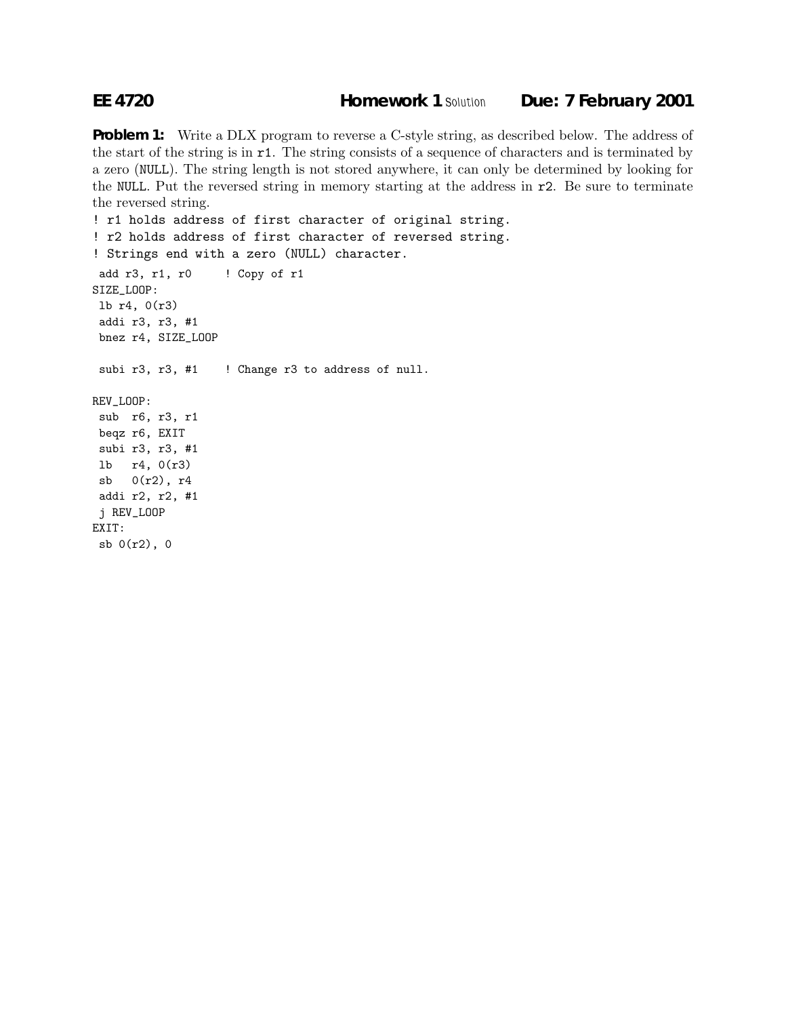**Problem 1:** Write a DLX program to reverse a C-style string, as described below. The address of the start of the string is in r1. The string consists of a sequence of characters and is terminated by a zero (NULL). The string length is not stored anywhere, it can only be determined by looking for the NULL. Put the reversed string in memory starting at the address in r2. Be sure to terminate the reversed string.

```
! r1 holds address of first character of original string.
! r2 holds address of first character of reversed string.
! Strings end with a zero (NULL) character.
add r3, r1, r0 ! Copy of r1
SIZE_LOOP:
lb r4, 0(r3)
addi r3, r3, #1
bnez r4, SIZE_LOOP
subi r3, r3, #1 ! Change r3 to address of null.
REV_LOOP:
sub r6, r3, r1
beqz r6, EXIT
subi r3, r3, #1
lb r4, 0(r3)
sb 0(r2), r4
addi r2, r2, #1
j REV_LOOP
EXIT:
sb 0(r2), 0
```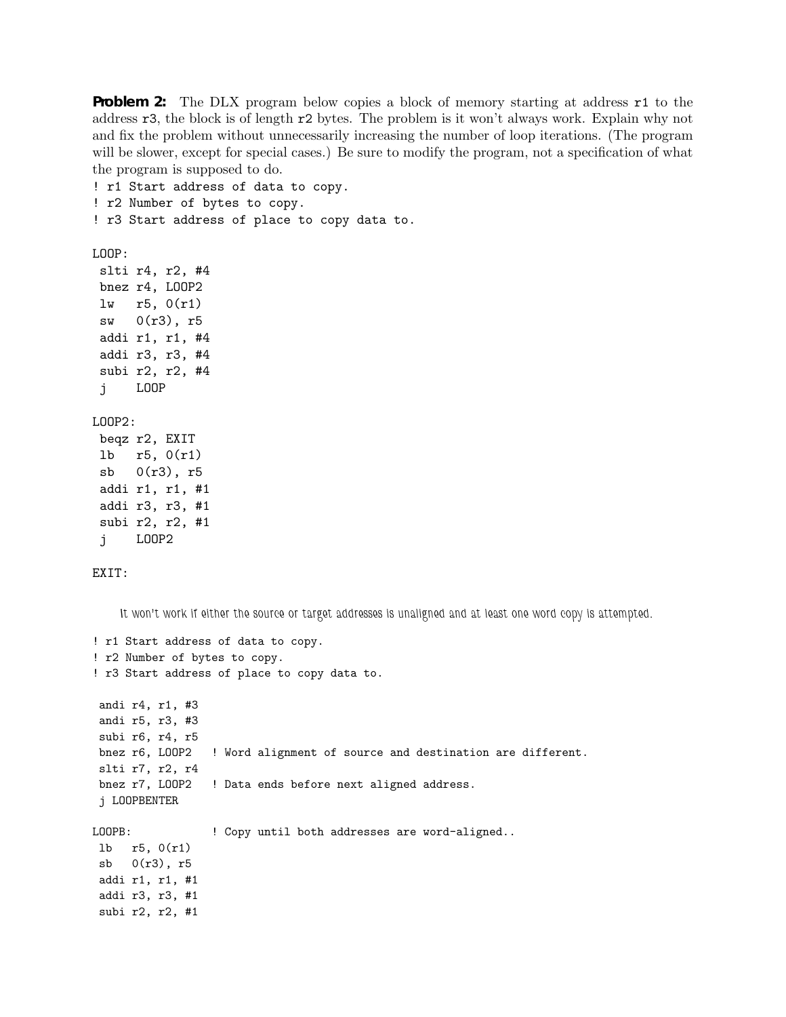**Problem 2:** The DLX program below copies a block of memory starting at address **r1** to the address r3, the block is of length r2 bytes. The problem is it won't always work. Explain why not and fix the problem without unnecessarily increasing the number of loop iterations. (The program will be slower, except for special cases.) Be sure to modify the program, not a specification of what the program is supposed to do.

! r2 Number of bytes to copy. ! r3 Start address of place to copy data to. LOOP: slti r4, r2, #4 bnez r4, LOOP2 lw r5, 0(r1) sw 0(r3), r5 addi r1, r1, #4 addi r3, r3, #4 subi r2, r2, #4 j LOOP LOOP2: beqz r2, EXIT lb r5, 0(r1) sb 0(r3), r5 addi r1, r1, #1 addi r3, r3, #1 subi r2, r2, #1 j LOOP2 EXIT: *It won't work if either the source or target addresses is unaligned and at least one word copy is attempted.* ! r1 Start address of data to copy. ! r2 Number of bytes to copy. ! r3 Start address of place to copy data to. andi r4, r1, #3 andi r5, r3, #3 subi r6, r4, r5 bnez r6, LOOP2 ! Word alignment of source and destination are different. slti r7, r2, r4 bnez r7, LOOP2 ! Data ends before next aligned address. j LOOPBENTER LOOPB: ! Copy until both addresses are word-aligned.. lb r5, 0(r1) sb  $0(r3)$ , r5 addi r1, r1, #1 addi r3, r3, #1 subi r2, r2, #1

! r1 Start address of data to copy.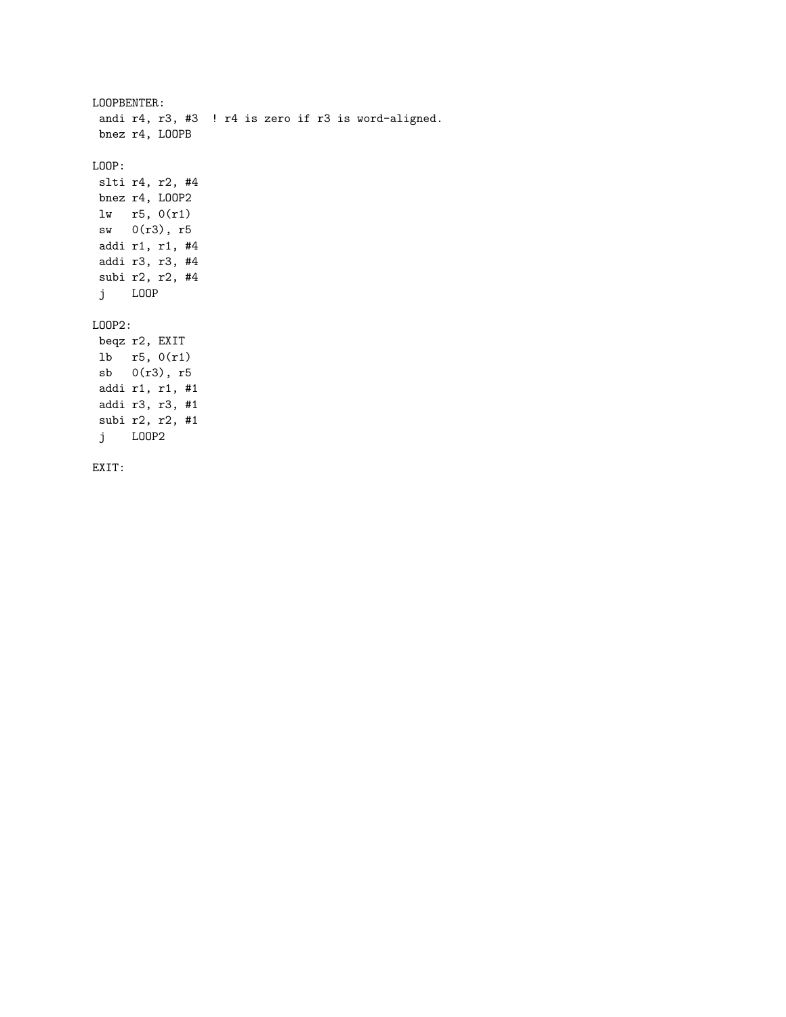```
LOOPBENTER:
andi r4, r3, #3 ! r4 is zero if r3 is word-aligned.
bnez r4, LOOPB
LOOP:
slti r4, r2, #4
bnez r4, LOOP2
lw r5, 0(r1)
sw 0(r3), r5
addi r1, r1, #4
addi r3, r3, #4
subi r2, r2, #4
j LOOP
LOOP2:
beqz r2, EXIT
lb r5, 0(r1)
sb 0(r3), r5
addi r1, r1, #1
addi r3, r3, #1
subi r2, r2, #1
j LOOP2
EXIT:
```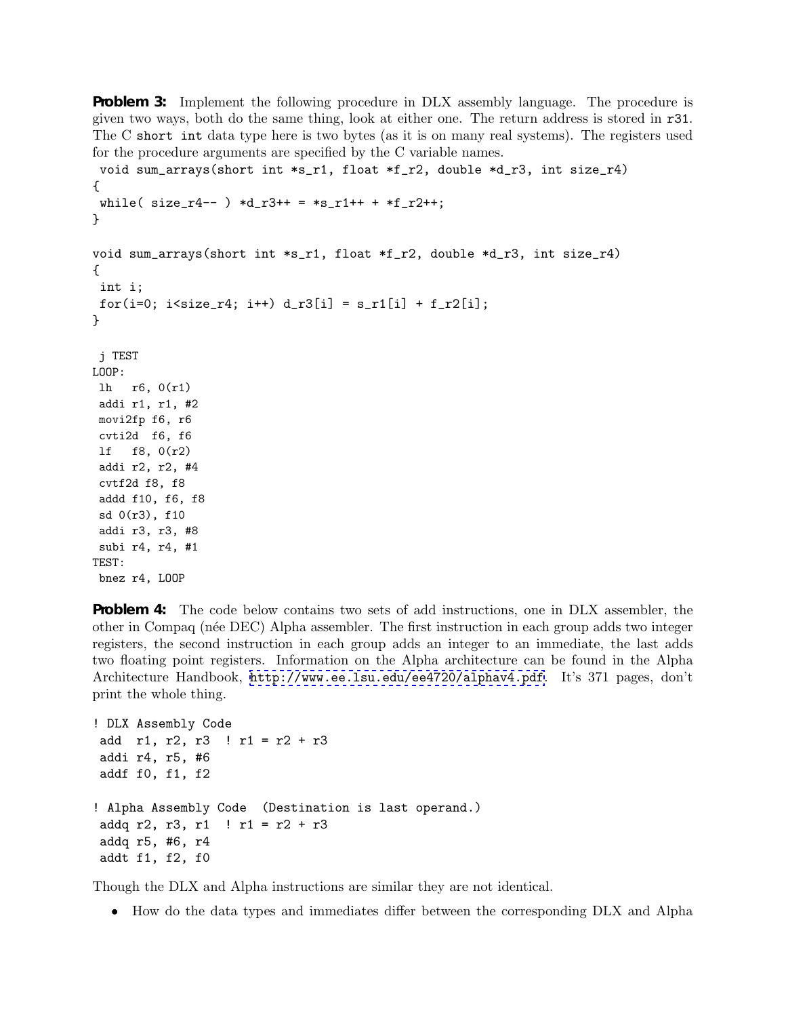**Problem 3:** Implement the following procedure in DLX assembly language. The procedure is given two ways, both do the same thing, look at either one. The return address is stored in r31. The C short int data type here is two bytes (as it is on many real systems). The registers used for the procedure arguments are specified by the C variable names.

```
void sum_arrays(short int *s_r1, float *f_r2, double *d_r3, int size_r4)
{
while( size_r4-- ) *d_r3++ = *s_r1++ *f_r2++;}
void sum_arrays(short int *s_r1, float *f_r2, double *d_r3, int size_r4)
{
int i;
for(i=0; i < size_r 4; i++) d_r 3[i] = s_r 1[i] + f_r 2[i];}
j TEST
LOOP:
lh r6, 0(r1)
addi r1, r1, #2
movi2fp f6, r6
cvti2d f6, f6
lf f8, 0(r2)
addi r2, r2, #4
cvtf2d f8, f8
addd f10, f6, f8
sd 0(r3), f10
addi r3, r3, #8
subi r4, r4, #1
TEST:
bnez r4, LOOP
```
**Problem 4:** The code below contains two sets of add instructions, one in DLX assembler, the other in Compaq (n´ee DEC) Alpha assembler. The first instruction in each group adds two integer registers, the second instruction in each group adds an integer to an immediate, the last adds two floating point registers. Information on the Alpha architecture can be found in the Alpha Architecture Handbook, <http://www.ee.lsu.edu/ee4720/alphav4.pdf>. It's 371 pages, don't print the whole thing.

```
! DLX Assembly Code
add r1, r2, r3 ! r1 = r2 + r3
addi r4, r5, #6
addf f0, f1, f2
! Alpha Assembly Code (Destination is last operand.)
addq r2, r3, r1 ! r1 = r2 + r3addq r5, #6, r4
addt f1, f2, f0
```
Though the DLX and Alpha instructions are similar they are not identical.

• How do the data types and immediates differ between the corresponding DLX and Alpha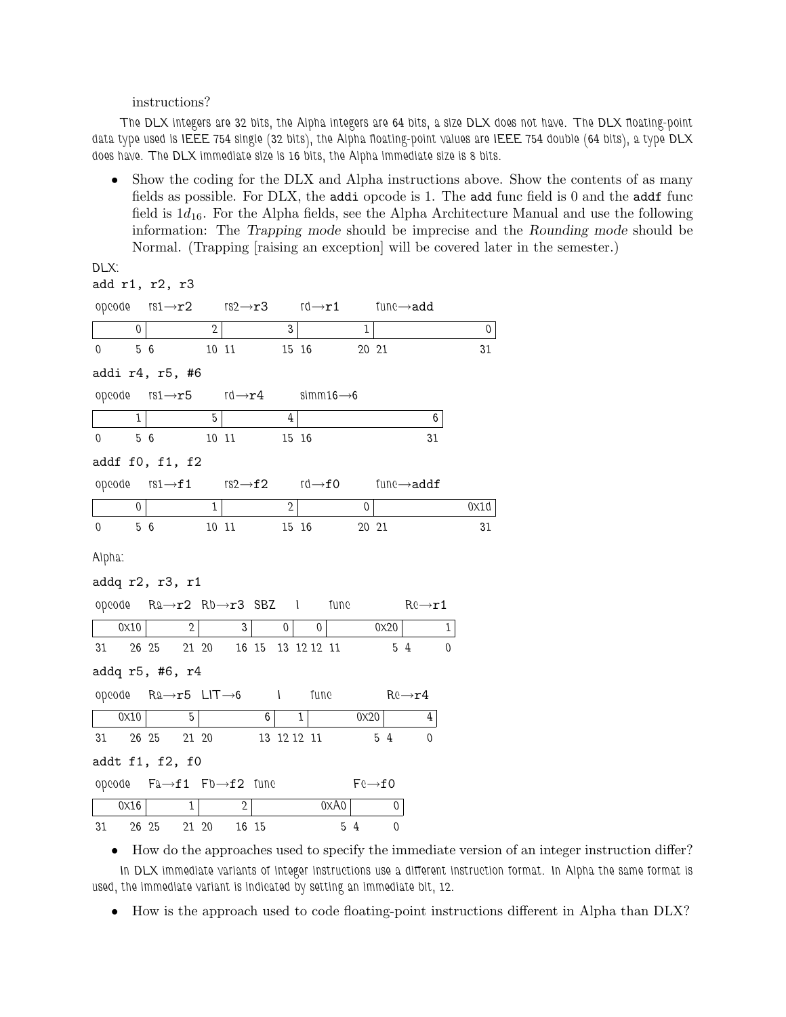## instructions?

*DLX:*

*The DLX integers are 32 bits, the Alpha integers are 64 bits, a size DLX does not have. The DLX floating-point data type used is IEEE 754 single (32 bits), the Alpha floating-point values are IEEE 754 double (64 bits), a type DLX does have. The DLX immediate size is 16 bits, the Alpha immediate size is 8 bits.*

• Show the coding for the DLX and Alpha instructions above. Show the contents of as many fields as possible. For DLX, the addi opcode is 1. The add func field is 0 and the addf func field is  $1d_{16}$ . For the Alpha fields, see the Alpha Architecture Manual and use the following information: The Trapping mode should be imprecise and the Rounding mode should be Normal. (Trapping [raising an exception] will be covered later in the semester.)

|             |                | add r1, r2, r3                                                                               |              |              |       |                |                        |      |             |                     |                     |   |                  |
|-------------|----------------|----------------------------------------------------------------------------------------------|--------------|--------------|-------|----------------|------------------------|------|-------------|---------------------|---------------------|---|------------------|
|             |                | opeode $rs1 \rightarrow r2$ $rs2 \rightarrow r3$ $rd \rightarrow r1$ func $\rightarrow$ add  |              |              |       |                |                        |      |             |                     |                     |   |                  |
|             | $\mathbf 0$    |                                                                                              | $\mathbf{2}$ |              |       | 3              |                        |      | $\mathbf 1$ |                     |                     |   | $\boldsymbol{0}$ |
| $\mathbf 0$ |                | 5 6                                                                                          |              | 10 11        |       |                | 15 16                  |      |             | 20 21               |                     |   | 31               |
|             |                | addi r4, r5, #6                                                                              |              |              |       |                |                        |      |             |                     |                     |   |                  |
|             |                | opcode $rs1 \rightarrow r5$ $rd \rightarrow r4$                                              |              |              |       |                | $simm16 \rightarrow 6$ |      |             |                     |                     |   |                  |
|             | $\mathbf{1}$   |                                                                                              | 5            |              |       | 4              |                        |      |             |                     | 6                   |   |                  |
| $\mathbf 0$ |                | 56                                                                                           |              | 10 11        |       |                | 15 16                  |      |             |                     | 31                  |   |                  |
|             |                | addf f0, f1, f2                                                                              |              |              |       |                |                        |      |             |                     |                     |   |                  |
|             |                | opeode $rs1 \rightarrow f1$ $rs2 \rightarrow f2$ $rd \rightarrow f0$ fune $\rightarrow addf$ |              |              |       |                |                        |      |             |                     |                     |   |                  |
|             | $\overline{0}$ |                                                                                              | 1            |              |       | 2 <sup>1</sup> |                        |      | 0           |                     |                     |   | 0X1d             |
| $\mathbf 0$ |                | 56                                                                                           |              | 10 11        |       |                | 15 16                  |      |             | 20 21               |                     |   | 31               |
| Alpha:      |                |                                                                                              |              |              |       |                |                        |      |             |                     |                     |   |                  |
|             |                | addq r2, r3, r1                                                                              |              |              |       |                |                        |      |             |                     |                     |   |                  |
|             |                | opcode $Ra \rightarrow r2$ $Rb \rightarrow r3$ SBZ 1                                         |              |              |       |                |                        |      |             | fune                | $R \rightarrow r1$  |   |                  |
|             | 0x10           | $\mathbf{2}$                                                                                 |              | 3            |       | $\overline{0}$ | $\mathbf 0$            |      |             | 0x20                |                     | 1 |                  |
| 31          |                | 26 25                                                                                        | 21 20        |              |       |                | 16 15 13 12 12 11      |      |             |                     | 54                  | 0 |                  |
|             |                | addq r5, #6, r4                                                                              |              |              |       |                |                        |      |             |                     |                     |   |                  |
|             |                | opcode $Ra \rightarrow r5$ LIT $\rightarrow$ 6 I                                             |              |              |       |                | func                   |      |             |                     | $Re \rightarrow r4$ |   |                  |
|             | 0x10           | 5                                                                                            |              |              | 6     |                | 1                      |      | 0x20        |                     | 4                   |   |                  |
| 31          |                | 26 25                                                                                        | 21 20        |              |       |                | 13 12 12 11            |      |             | 5 4                 | $\Omega$            |   |                  |
|             |                | addt f1, f2, f0                                                                              |              |              |       |                |                        |      |             |                     |                     |   |                  |
|             |                | opcode $Fa \rightarrow f1$ $Fb \rightarrow f2$ func                                          |              |              |       |                |                        |      |             | $Fe \rightarrow f0$ |                     |   |                  |
|             | 0x16           | 1                                                                                            |              | $\mathbf{2}$ |       |                |                        | 0XA0 |             | 0                   |                     |   |                  |
| 31          |                | 26 25                                                                                        | 21 20        |              | 16 15 |                |                        | 5 4  |             | 0                   |                     |   |                  |

• How do the approaches used to specify the immediate version of an integer instruction differ? *In DLX immediate variants of integer instructions use a different instruction format. In Alpha the same format is used, the immediate variant is indicated by setting an immediate bit, 12.*

• How is the approach used to code floating-point instructions different in Alpha than DLX?